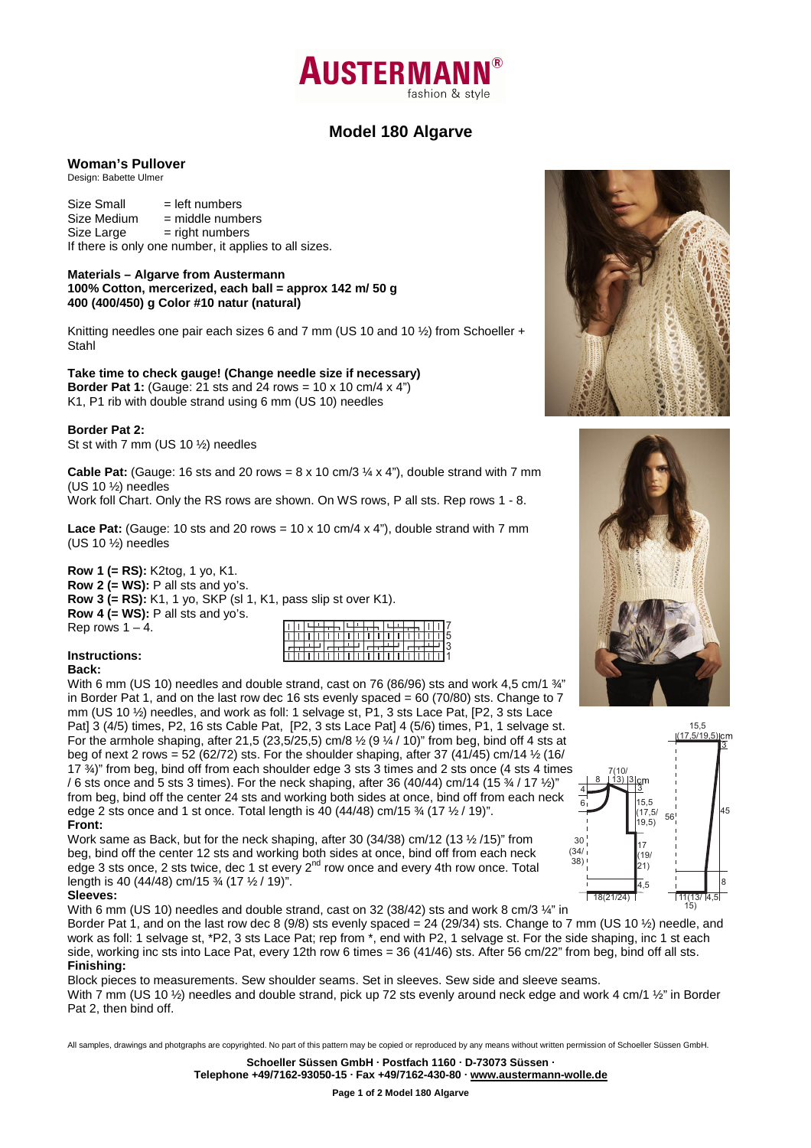

# **Model 180 Algarve**

#### **Woman's Pullover**

Design: Babette Ulmer

 $Size Small$  = left numbers  $Size Medium = middle numbers$  $Size Large = right numbers$ If there is only one number, it applies to all sizes.

**Materials – Algarve from Austermann 100% Cotton, mercerized, each ball = approx 142 m/ 50 g 400 (400/450) g Color #10 natur (natural)** 

Knitting needles one pair each sizes 6 and 7 mm (US 10 and 10 %) from Schoeller + Stahl

**Take time to check gauge! (Change needle size if necessary) Border Pat 1:** (Gauge: 21 sts and 24 rows = 10 x 10 cm/4 x 4") K1, P1 rib with double strand using 6 mm (US 10) needles

**Border Pat 2:** 

St st with 7 mm (US 10 ½) needles

**Cable Pat:** (Gauge: 16 sts and 20 rows =  $8 \times 10$  cm/3  $\frac{1}{4} \times 4$ "), double strand with 7 mm (US 10 ½) needles

Work foll Chart. Only the RS rows are shown. On WS rows, P all sts. Rep rows 1 - 8.

**Lace Pat:** (Gauge: 10 sts and 20 rows =  $10 \times 10$  cm/4  $\times$  4"), double strand with 7 mm (US 10 ½) needles

**Row 1 (= RS):** K2tog, 1 yo, K1. **Row 2 (= WS):** P all sts and yo's. **Row 3 (= RS):** K1, 1 yo, SKP (sl 1, K1, pass slip st over K1). **Row 4 (= WS):** P all sts and yo's. Rep rows  $1 - 4$ .

|  |  | . |   |  |              |          |  |  |  |
|--|--|---|---|--|--------------|----------|--|--|--|
|  |  |   |   |  |              |          |  |  |  |
|  |  |   |   |  |              |          |  |  |  |
|  |  |   | ┬ |  |              | $\cdots$ |  |  |  |
|  |  |   |   |  | $\mathbf{H}$ |          |  |  |  |

# **Instructions:**

#### **Back:**

With 6 mm (US 10) needles and double strand, cast on 76 (86/96) sts and work 4,5 cm/1  $\frac{3}{4}$ " in Border Pat 1, and on the last row dec 16 sts evenly spaced =  $60$  (70/80) sts. Change to 7 mm (US 10 ½) needles, and work as foll: 1 selvage st, P1, 3 sts Lace Pat, [P2, 3 sts Lace Pat] 3 (4/5) times, P2, 16 sts Cable Pat, [P2, 3 sts Lace Pat] 4 (5/6) times, P1, 1 selvage st. For the armhole shaping, after 21,5 (23,5/25,5) cm/8  $\frac{1}{2}$  (9  $\frac{1}{4}$  / 10)" from beg, bind off 4 sts at beg of next 2 rows =  $52(62/72)$  sts. For the shoulder shaping, after 37 (41/45) cm/14  $\frac{1}{2}$  (16/ 17 ¾)" from beg, bind off from each shoulder edge 3 sts 3 times and 2 sts once (4 sts 4 times / 6 sts once and 5 sts 3 times). For the neck shaping, after 36 (40/44) cm/14 (15  $\frac{3}{4}$  / 17  $\frac{1}{2}$ )" from beg, bind off the center 24 sts and working both sides at once, bind off from each neck edge 2 sts once and 1 st once. Total length is  $40$  (44/48) cm/15  $\frac{3}{4}$  (17  $\frac{1}{2}$  / 19)". **Front:** 

Work same as Back, but for the neck shaping, after 30 (34/38) cm/12 (13 ½ /15)" from beg, bind off the center 12 sts and working both sides at once, bind off from each neck edge 3 sts once, 2 sts twice, dec 1 st every  $2^{nd}$  row once and every 4th row once. Total length is 40 (44/48) cm/15 ¾ (17 ½ / 19)".

### **Sleeves:**

With 6 mm (US 10) needles and double strand, cast on 32 (38/42) sts and work 8 cm/3  $\frac{1}{4}$ " in

Border Pat 1, and on the last row dec 8 (9/8) sts evenly spaced = 24 (29/34) sts. Change to 7 mm (US 10  $\frac{1}{2}$ ) needle, and work as foll: 1 selvage st, \*P2, 3 sts Lace Pat; rep from \*, end with P2, 1 selvage st. For the side shaping, inc 1 st each side, working inc sts into Lace Pat, every 12th row 6 times = 36 (41/46) sts. After 56 cm/22" from beg, bind off all sts. **Finishing:** 

Block pieces to measurements. Sew shoulder seams. Set in sleeves. Sew side and sleeve seams. With 7 mm (US 10  $\frac{1}{2}$ ) needles and double strand, pick up 72 sts evenly around neck edge and work 4 cm/1  $\frac{1}{2}$ " in Border Pat 2, then bind off.

All samples, drawings and photgraphs are copyrighted. No part of this pattern may be copied or reproduced by any means without written permission of Schoeller Süssen GmbH.